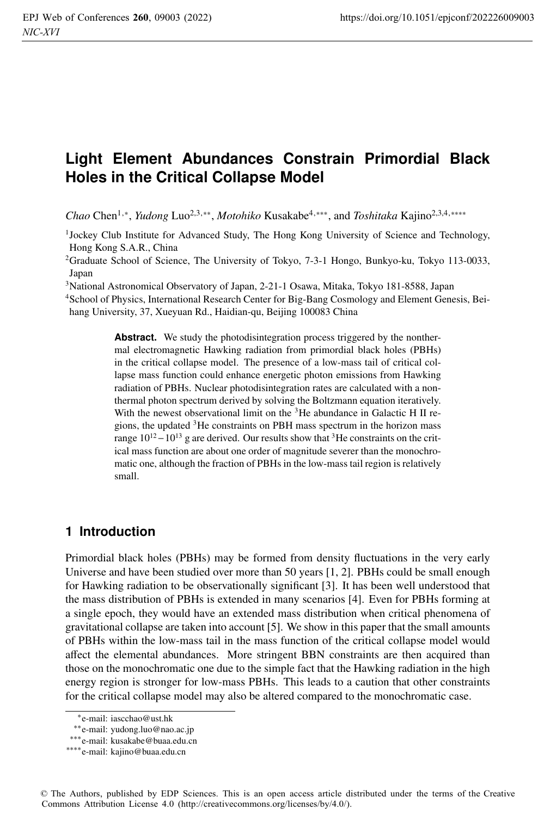# **Light Element Abundances Constrain Primordial Black Holes in the Critical Collapse Model**

*Chao* Chen1,∗, *Yudong* Luo2,3,∗∗, *Motohiko* Kusakabe4,∗∗∗, and *Toshitaka* Kajino2,3,4,∗∗∗∗

1Jockey Club Institute for Advanced Study, The Hong Kong University of Science and Technology, Hong Kong S.A.R., China

2Graduate School of Science, The University of Tokyo, 7-3-1 Hongo, Bunkyo-ku, Tokyo 113-0033, Japan

3National Astronomical Observatory of Japan, 2-21-1 Osawa, Mitaka, Tokyo 181-8588, Japan

4School of Physics, International Research Center for Big-Bang Cosmology and Element Genesis, Beihang University, 37, Xueyuan Rd., Haidian-qu, Beijing 100083 China

> Abstract. We study the photodisintegration process triggered by the nonthermal electromagnetic Hawking radiation from primordial black holes (PBHs) in the critical collapse model. The presence of a low-mass tail of critical collapse mass function could enhance energetic photon emissions from Hawking radiation of PBHs. Nuclear photodisintegration rates are calculated with a nonthermal photon spectrum derived by solving the Boltzmann equation iteratively. With the newest observational limit on the  ${}^{3}$ He abundance in Galactic H II regions, the updated 3He constraints on PBH mass spectrum in the horizon mass range  $10^{12} - 10^{13}$  g are derived. Our results show that <sup>3</sup>He constraints on the critical mass function are about one order of magnitude severer than the monochromatic one, although the fraction of PBHs in the low-mass tail region is relatively small.

## **1 Introduction**

Primordial black holes (PBHs) may be formed from density fluctuations in the very early Universe and have been studied over more than 50 years [1, 2]. PBHs could be small enough for Hawking radiation to be observationally significant [3]. It has been well understood that the mass distribution of PBHs is extended in many scenarios [4]. Even for PBHs forming at a single epoch, they would have an extended mass distribution when critical phenomena of gravitational collapse are taken into account [5]. We show in this paper that the small amounts of PBHs within the low-mass tail in the mass function of the critical collapse model would affect the elemental abundances. More stringent BBN constraints are then acquired than those on the monochromatic one due to the simple fact that the Hawking radiation in the high energy region is stronger for low-mass PBHs. This leads to a caution that other constraints for the critical collapse model may also be altered compared to the monochromatic case.

<sup>∗</sup>e-mail: iascchao@ust.hk

<sup>∗∗</sup>e-mail: yudong.luo@nao.ac.jp

<sup>∗∗∗</sup>e-mail: kusakabe@buaa.edu.cn

<sup>∗∗∗∗</sup>e-mail: kajino@buaa.edu.cn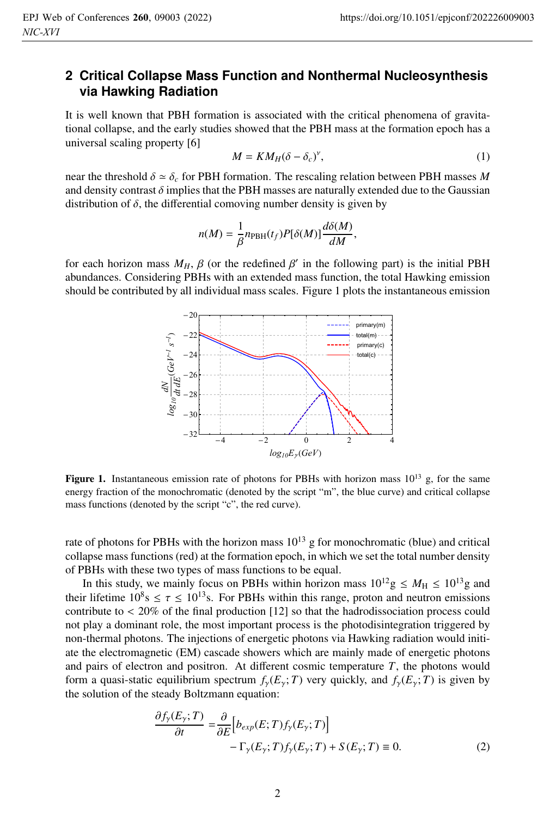# **2 Critical Collapse Mass Function and Nonthermal Nucleosynthesis via Hawking Radiation**

It is well known that PBH formation is associated with the critical phenomena of gravitational collapse, and the early studies showed that the PBH mass at the formation epoch has a universal scaling property [6]

$$
M = KM_H(\delta - \delta_c)^{\nu},\tag{1}
$$

near the threshold  $\delta \simeq \delta_c$  for PBH formation. The rescaling relation between PBH masses M and density contrast  $\delta$  implies that the PBH masses are naturally extended due to the Gaussian distribution of  $\delta$ , the differential comoving number density is given by

$$
n(M)=\frac{1}{\beta}n_{\rm PBH}(t_f)P[\delta(M)]\frac{d\delta(M)}{dM},
$$

for each horizon mass  $M_H$ ,  $\beta$  (or the redefined  $\beta'$  in the following part) is the initial PBH abundances. Considering PBHs with an extended mass function, the total Hawking emission should be contributed by all individual mass scales. Figure 1 plots the instantaneous emission



**Figure 1.** Instantaneous emission rate of photons for PBHs with horizon mass  $10^{13}$  g, for the same energy fraction of the monochromatic (denoted by the script "m", the blue curve) and critical collapse mass functions (denoted by the script "c", the red curve).

rate of photons for PBHs with the horizon mass  $10^{13}$  g for monochromatic (blue) and critical collapse mass functions (red) at the formation epoch, in which we set the total number density of PBHs with these two types of mass functions to be equal.

In this study, we mainly focus on PBHs within horizon mass  $10^{12}$  g  $\leq M_H \leq 10^{13}$  g and their lifetime  $10^8$ s  $\leq \tau \leq 10^{13}$ s. For PBHs within this range, proton and neutron emissions contribute to < 20% of the final production [12] so that the hadrodissociation process could not play a dominant role, the most important process is the photodisintegration triggered by non-thermal photons. The injections of energetic photons via Hawking radiation would initiate the electromagnetic (EM) cascade showers which are mainly made of energetic photons and pairs of electron and positron. At different cosmic temperature *T*, the photons would form a quasi-static equilibrium spectrum  $f_{\gamma}(E_{\gamma}; T)$  very quickly, and  $f_{\gamma}(E_{\gamma}; T)$  is given by the solution of the steady Boltzmann equation:

$$
\frac{\partial f_{\gamma}(E_{\gamma};T)}{\partial t} = \frac{\partial}{\partial E} \Big[ b_{exp}(E;T) f_{\gamma}(E_{\gamma};T) \Big] - \Gamma_{\gamma}(E_{\gamma};T) f_{\gamma}(E_{\gamma};T) + S(E_{\gamma};T) \equiv 0. \tag{2}
$$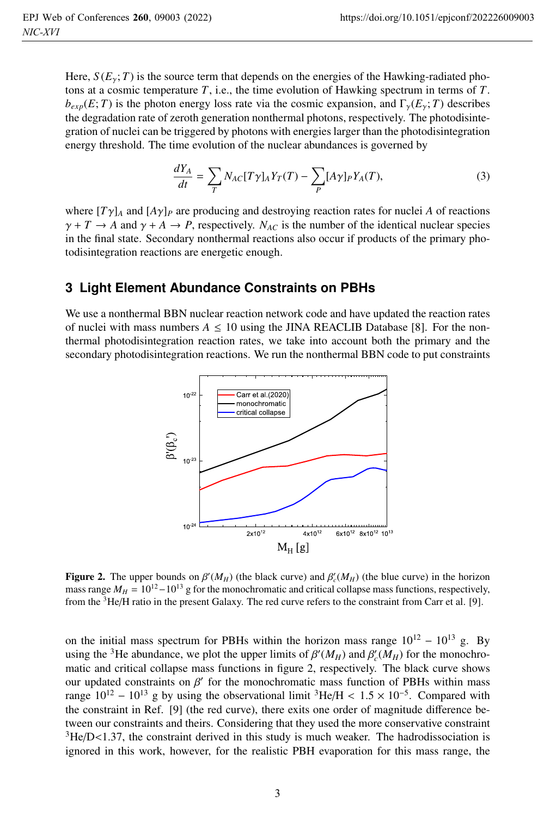Here,  $S(E_y; T)$  is the source term that depends on the energies of the Hawking-radiated photons at a cosmic temperature *T*, i.e., the time evolution of Hawking spectrum in terms of *T*.  $b_{exp}(E; T)$  is the photon energy loss rate via the cosmic expansion, and  $\Gamma_{\gamma}(E_{\gamma}; T)$  describes the degradation rate of zeroth generation nonthermal photons, respectively. The photodisintegration of nuclei can be triggered by photons with energies larger than the photodisintegration energy threshold. The time evolution of the nuclear abundances is governed by

$$
\frac{dY_A}{dt} = \sum_T N_{AC}[T\gamma]_A Y_T(T) - \sum_P [A\gamma]_P Y_A(T),\tag{3}
$$

where  $[T\gamma]_A$  and  $[A\gamma]_P$  are producing and destroying reaction rates for nuclei A of reactions  $\gamma + T \rightarrow A$  and  $\gamma + A \rightarrow P$ , respectively. *N<sub>AC</sub>* is the number of the identical nuclear species in the final state. Secondary nonthermal reactions also occur if products of the primary photodisintegration reactions are energetic enough.

#### **3 Light Element Abundance Constraints on PBHs**

We use a nonthermal BBN nuclear reaction network code and have updated the reaction rates of nuclei with mass numbers  $A \le 10$  using the JINA REACLIB Database [8]. For the nonthermal photodisintegration reaction rates, we take into account both the primary and the secondary photodisintegration reactions. We run the nonthermal BBN code to put constraints



**Figure 2.** The upper bounds on  $\beta'(M_H)$  (the black curve) and  $\beta'_{c}(M_H)$  (the blue curve) in the horizon mass range  $M_H \sim 10^{12} - 10^{13}$  g for the monochromatic and critical collanse mass functions, respectively mass range  $M_H = 10^{12} - 10^{13}$  g for the monochromatic and critical collapse mass functions, respectively, from the 3He/H ratio in the present Galaxy. The red curve refers to the constraint from Carr et al. [9].

on the initial mass spectrum for PBHs within the horizon mass range  $10^{12} - 10^{13}$  g. By using the <sup>3</sup>He abundance, we plot the upper limits of  $\beta'(M_H)$  and  $\beta'_{c}(M_H)$  for the monochromatic and critical collapse mass functions in figure 2, respectively. The black curve shows our updated constraints on  $\beta'$  for the monochromatic mass function of PBHs within mass range  $10^{12} - 10^{13}$  g by using the observational limit <sup>3</sup>He/H <  $1.5 \times 10^{-5}$ . Compared with the constraint in Ref. [9] (the red curve), there exits one order of magnitude difference between our constraints and theirs. Considering that they used the more conservative constraint  ${}^{3}$ He/D<1.37, the constraint derived in this study is much weaker. The hadrodissociation is ignored in this work, however, for the realistic PBH evaporation for this mass range, the